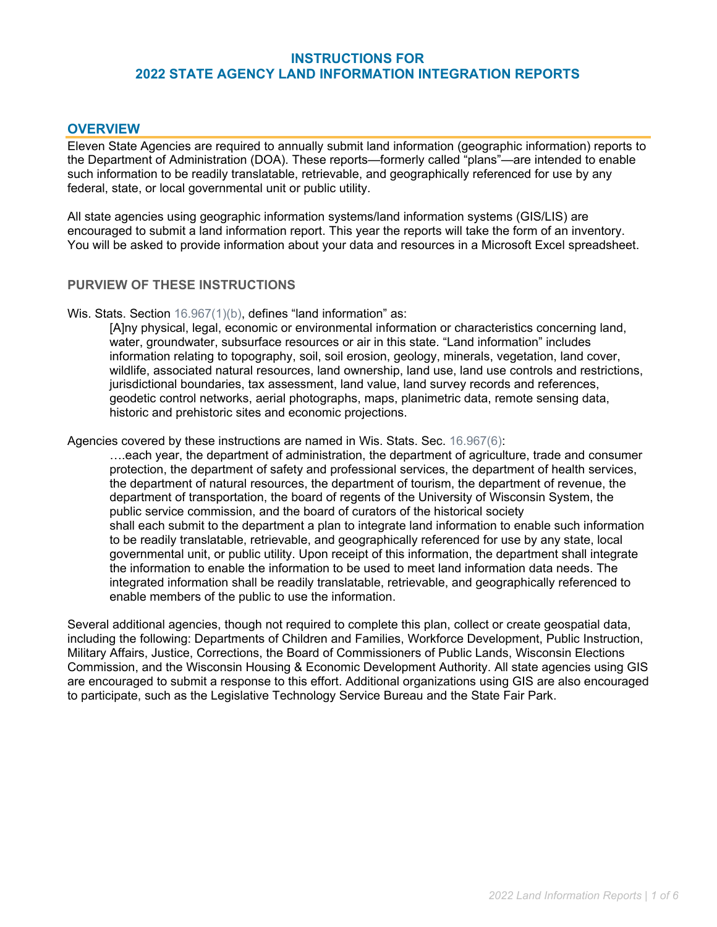### **INSTRUCTIONS FO[R](https://doa.wi.gov/Pages/LocalGovtsGrants/WLIP-Land-Info-Plans.aspx) 2022 [STATE AGENCY LAND INFORMATION INTEGRATION REPORTS](https://doa.wi.gov/Pages/LocalGovtsGrants/WLIP-Land-Info-Plans.aspx)**

## **OVERVIEW**

Eleven State Agencies are required to annually submit land information (geographic information) reports to the Department of Administration (DOA). These reports—formerly called "plans"—are intended to enable such information to be readily translatable, retrievable, and geographically referenced for use by any federal, state, or local governmental unit or public utility.

All state agencies using geographic information systems/land information systems (GIS/LIS) are encouraged to submit a land information report. This year the reports will take the form of an inventory. You will be asked to provide information about your data and resources in a Microsoft Excel spreadsheet.

### **PURVIEW OF THESE INSTRUCTIONS**

Wis. Stats. Section [16.967\(1\)\(b\),](https://docs.legis.wisconsin.gov/statutes/statutes/16/VI/967/1/b) defines "land information" as:

[A]ny physical, legal, economic or environmental information or characteristics concerning land, water, groundwater, subsurface resources or air in this state. "Land information" includes information relating to topography, soil, soil erosion, geology, minerals, vegetation, land cover, wildlife, associated natural resources, land ownership, land use, land use controls and restrictions, jurisdictional boundaries, tax assessment, land value, land survey records and references, geodetic control networks, aerial photographs, maps, planimetric data, remote sensing data, historic and prehistoric sites and economic projections.

Agencies covered by these instructions are named in Wis. Stats. Sec. [16.967\(6\):](https://docs.legis.wisconsin.gov/statutes/statutes/16/VI/967/6)

….each year, the department of administration, the department of agriculture, trade and consumer protection, the department of safety and professional services, the department of health services, the department of natural resources, the department of tourism, the department of revenue, the department of transportation, the board of regents of the University of Wisconsin System, the public service commission, and the board of curators of the historical society shall each submit to the department a plan to integrate land information to enable such information to be readily translatable, retrievable, and geographically referenced for use by any state, local governmental unit, or public utility. Upon receipt of this information, the department shall integrate the information to enable the information to be used to meet land information data needs. The integrated information shall be readily translatable, retrievable, and geographically referenced to enable members of the public to use the information.

Several additional agencies, though not required to complete this plan, collect or create geospatial data, including the following: Departments of Children and Families, Workforce Development, Public Instruction, Military Affairs, Justice, Corrections, the Board of Commissioners of Public Lands, Wisconsin Elections Commission, and the Wisconsin Housing & Economic Development Authority. All state agencies using GIS are encouraged to submit a response to this effort. Additional organizations using GIS are also encouraged to participate, such as the Legislative Technology Service Bureau and the State Fair Park.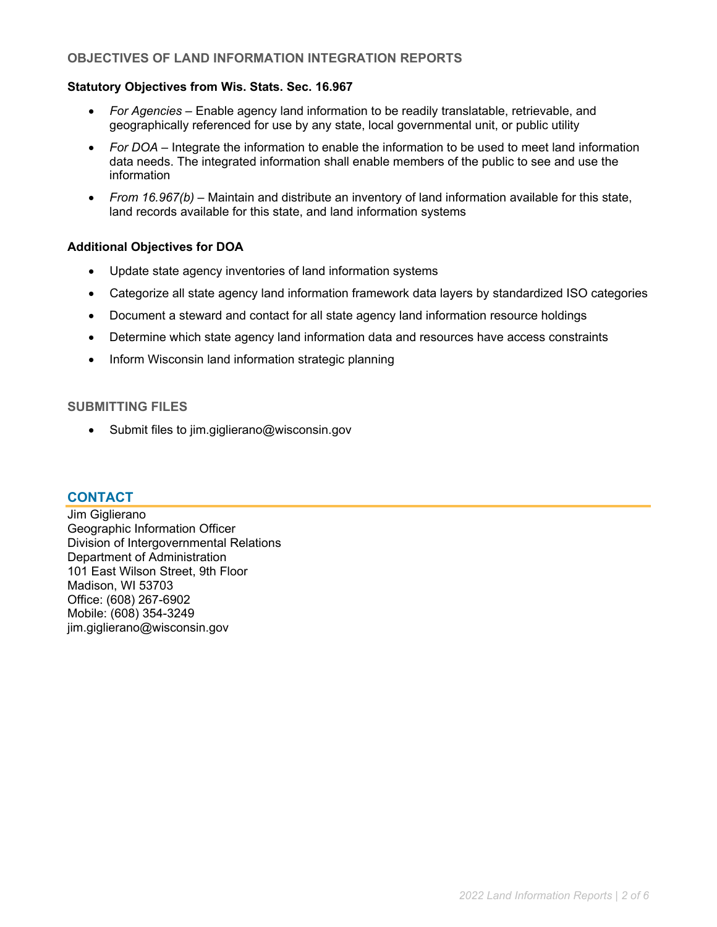### **OBJECTIVES OF LAND INFORMATION INTEGRATION REPORTS**

#### **Statutory Objectives from Wis. Stats. Sec. 16.967**

- *For Agencies* Enable agency land information to be readily translatable, retrievable, and geographically referenced for use by any state, local governmental unit, or public utility
- *For DOA* Integrate the information to enable the information to be used to meet land information data needs. The integrated information shall enable members of the public to see and use the information
- *From 16.967(b)*  Maintain and distribute an inventory of land information available for this state, land records available for this state, and land information systems

#### **Additional Objectives for DOA**

- Update state agency inventories of land information systems
- Categorize all state agency land information framework data layers by standardized ISO categories
- Document a steward and contact for all state agency land information resource holdings
- Determine which state agency land information data and resources have access constraints
- Inform Wisconsin land information strategic planning

### **SUBMITTING FILES**

• Submit files to [jim.giglierano@wisconsin.gov](mailto:jim.giglierano@wisconsin.gov)

#### **CONTACT**

Jim Giglierano Geographic Information Officer Division of Intergovernmental Relations Department of Administration 101 East Wilson Street, 9th Floor Madison, WI 53703 Office: (608) 267-6902 Mobile: (608) 354-3249 [jim.giglierano@wisconsin.gov](mailto:jim.giglierano@wisconsin.gov)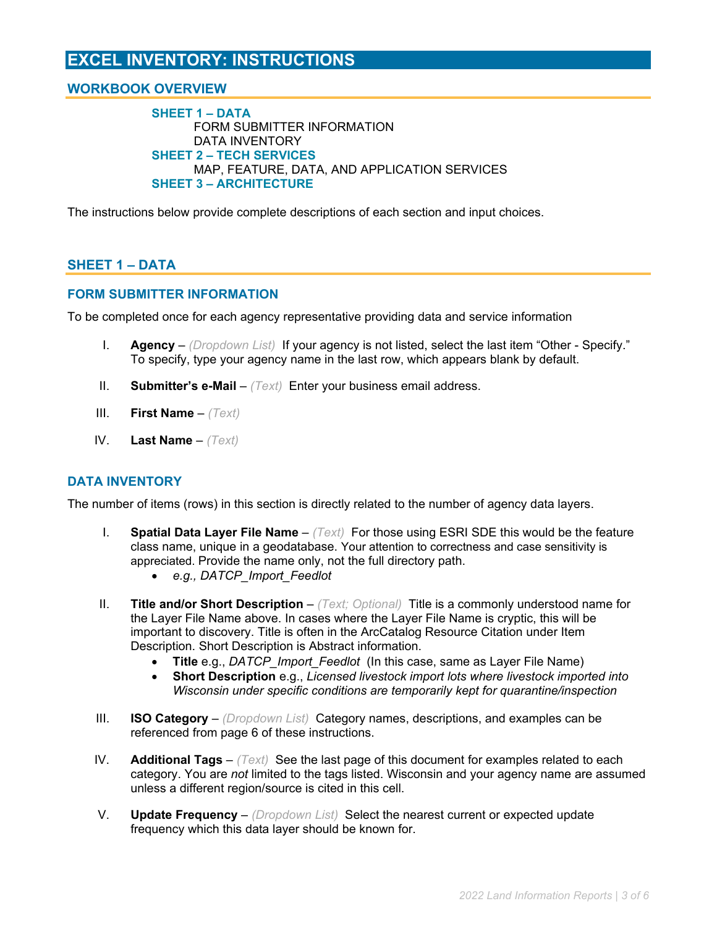# **EXCEL INVENTORY: INSTRUCTIONS**

## **WORKBOOK OVERVIEW**

**SHEET 1 – DATA** FORM SUBMITTER INFORMATION DATA INVENTORY **SHEET 2 – TECH SERVICES** MAP, FEATURE, DATA, AND APPLICATION SERVICES **SHEET 3 – ARCHITECTURE**

The instructions below provide complete descriptions of each section and input choices.

### **SHEET 1 – DATA**

#### **FORM SUBMITTER INFORMATION**

To be completed once for each agency representative providing data and service information

- I. **Agency** *(Dropdown List)* If your agency is not listed, select the last item "Other Specify." To specify, type your agency name in the last row, which appears blank by default.
- II. **Submitter's e-Mail** *(Text)* Enter your business email address.
- III. **First Name** *(Text)*
- IV. **Last Name** *(Text)*

#### **DATA INVENTORY**

The number of items (rows) in this section is directly related to the number of agency data layers.

- I. **Spatial Data Layer File Name** *(Text)* For those using ESRI SDE this would be the feature class name, unique in a geodatabase. Your attention to correctness and case sensitivity is appreciated. Provide the name only, not the full directory path.
	- *e.g., DATCP\_Import\_Feedlot*
- II. **Title and/or Short Description**  *(Text; Optional)* Title is a commonly understood name for the Layer File Name above. In cases where the Layer File Name is cryptic, this will be important to discovery. Title is often in the ArcCatalog Resource Citation under Item Description. Short Description is Abstract information.
	- **Title** e.g., *DATCP\_Import\_Feedlot* (In this case, same as Layer File Name)
	- **Short Description** e.g., *Licensed livestock import lots where livestock imported into Wisconsin under specific conditions are temporarily kept for quarantine/inspection*
- III. **ISO Category** *(Dropdown List)* Category names, descriptions, and examples can be referenced from page 6 of these instructions.
- IV. **Additional Tags**  *(Text)* See the last page of this document for examples related to each category. You are *not* limited to the tags listed. Wisconsin and your agency name are assumed unless a different region/source is cited in this cell.
- V. **Update Frequency** *(Dropdown List)* Select the nearest current or expected update frequency which this data layer should be known for.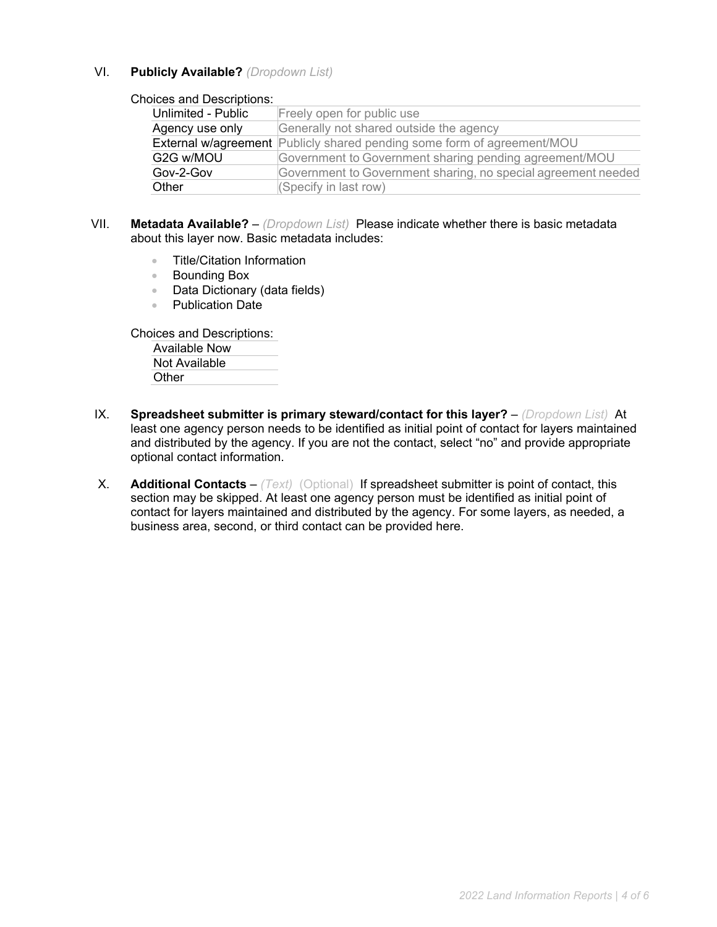#### VI. **Publicly Available?** *(Dropdown List)*

#### Choices and Descriptions:

| Freely open for public use                                                     |  |  |  |  |
|--------------------------------------------------------------------------------|--|--|--|--|
| Generally not shared outside the agency                                        |  |  |  |  |
| <b>External w/agreement</b> Publicly shared pending some form of agreement/MOU |  |  |  |  |
| Government to Government sharing pending agreement/MOU                         |  |  |  |  |
| Government to Government sharing, no special agreement needed                  |  |  |  |  |
| (Specify in last row)                                                          |  |  |  |  |
|                                                                                |  |  |  |  |

- VII. **Metadata Available?** *(Dropdown List)* Please indicate whether there is basic metadata about this layer now. Basic metadata includes:
	- Title/Citation Information
	- Bounding Box
	- Data Dictionary (data fields)
	- Publication Date

Choices and Descriptions:

Available Now Not Available Other

- IX. **Spreadsheet submitter is primary steward/contact for this layer?** *(Dropdown List)* At least one agency person needs to be identified as initial point of contact for layers maintained and distributed by the agency. If you are not the contact, select "no" and provide appropriate optional contact information.
- X. **Additional Contacts** *(Text)* (Optional) If spreadsheet submitter is point of contact, this section may be skipped. At least one agency person must be identified as initial point of contact for layers maintained and distributed by the agency. For some layers, as needed, a business area, second, or third contact can be provided here.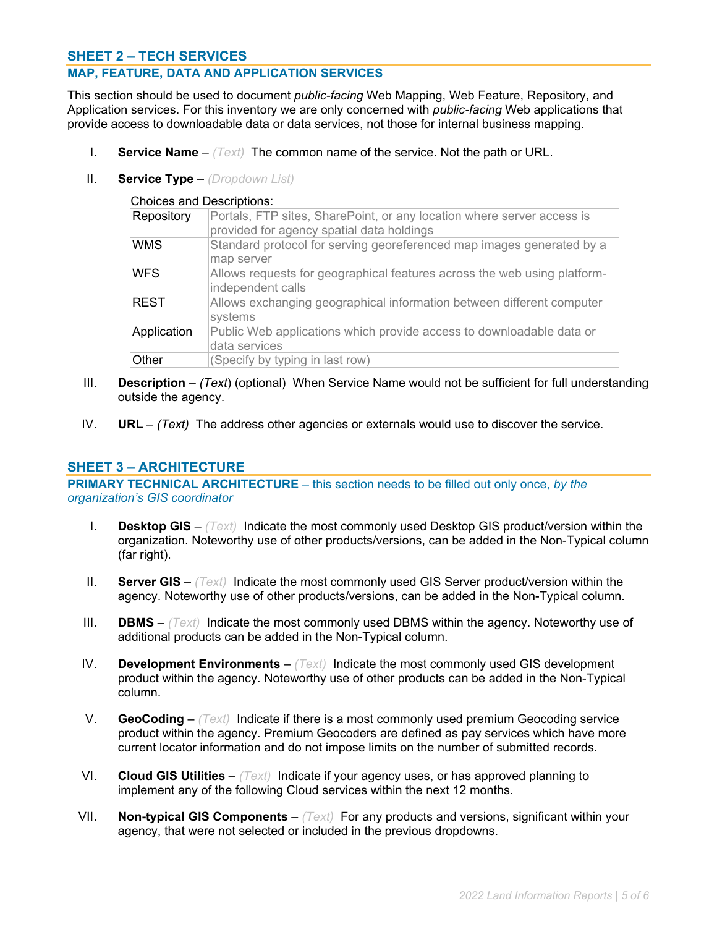### **SHEET 2 – TECH SERVICES**

### **MAP, FEATURE, DATA AND APPLICATION SERVICES**

This section should be used to document *public-facing* Web Mapping, Web Feature, Repository, and Application services. For this inventory we are only concerned with *public-facing* Web applications that provide access to downloadable data or data services, not those for internal business mapping.

- I. **Service Name** *(Text)* The common name of the service. Not the path or URL.
- II. **Service Type** *(Dropdown List)*

Choices and Descriptions:

| Repository  | Portals, FTP sites, SharePoint, or any location where server access is<br>provided for agency spatial data holdings |  |  |  |  |
|-------------|---------------------------------------------------------------------------------------------------------------------|--|--|--|--|
| WMS         | Standard protocol for serving georeferenced map images generated by a<br>map server                                 |  |  |  |  |
| <b>WFS</b>  | Allows requests for geographical features across the web using platform-<br>independent calls                       |  |  |  |  |
| <b>REST</b> | Allows exchanging geographical information between different computer<br>systems                                    |  |  |  |  |
| Application | Public Web applications which provide access to downloadable data or<br>data services                               |  |  |  |  |
| Other       | (Specify by typing in last row)                                                                                     |  |  |  |  |

- III. **Description** *(Text*) (optional) When Service Name would not be sufficient for full understanding outside the agency.
- IV. **URL** *(Text)* The address other agencies or externals would use to discover the service.

#### **SHEET 3 – ARCHITECTURE**

**PRIMARY TECHNICAL ARCHITECTURE** – this section needs to be filled out only once, *by the organization's GIS coordinator*

- I. **Desktop GIS** *(Text)* Indicate the most commonly used Desktop GIS product/version within the organization. Noteworthy use of other products/versions, can be added in the Non-Typical column (far right).
- II. **Server GIS** *(Text)* Indicate the most commonly used GIS Server product/version within the agency. Noteworthy use of other products/versions, can be added in the Non-Typical column.
- III. **DBMS** *(Text)* Indicate the most commonly used DBMS within the agency. Noteworthy use of additional products can be added in the Non-Typical column.
- IV. **Development Environments** *(Text)* Indicate the most commonly used GIS development product within the agency. Noteworthy use of other products can be added in the Non-Typical column.
- V. **GeoCoding** *(Text)* Indicate if there is a most commonly used premium Geocoding service product within the agency. Premium Geocoders are defined as pay services which have more current locator information and do not impose limits on the number of submitted records.
- VI. **Cloud GIS Utilities** *(Text)* Indicate if your agency uses, or has approved planning to implement any of the following Cloud services within the next 12 months.
- VII. **Non-typical GIS Components** *(Text)* For any products and versions, significant within your agency, that were not selected or included in the previous dropdowns.